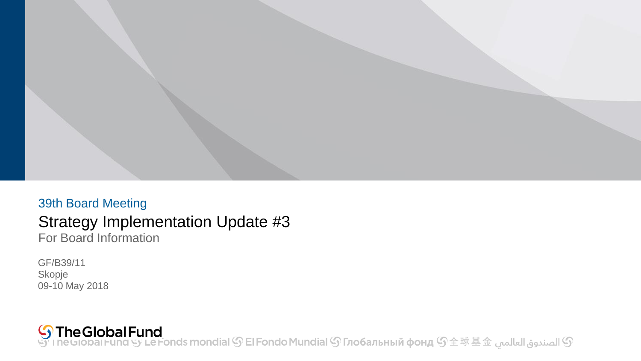

39th Board Meeting Strategy Implementation Update #3 For Board Information

GF/B39/11 Skopje 09-10 May 2018

<mark>் The Global Fund</mark><br>بالصندوق العالمي هـ I neGlobal Fund Sy Le Fonds mondial இ El Fondo Mundial இ Глобальный фонд இ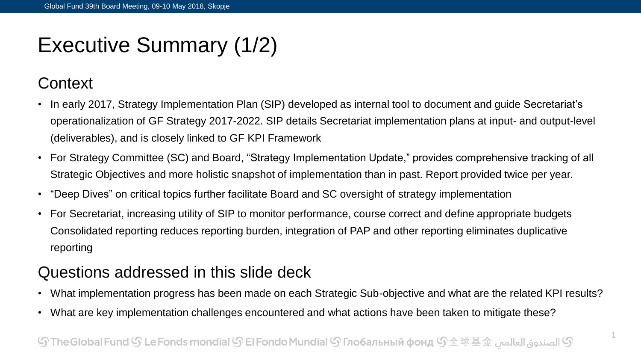# Executive Summary (1/2)

## **Context**

- In early 2017, Strategy Implementation Plan (SIP) developed as internal tool to document and guide Secretariat's operationalization of GF Strategy 2017-2022. SIP details Secretariat implementation plans at input- and output-level (deliverables), and is closely linked to GF KPI Framework
- For Strategy Committee (SC) and Board, "Strategy Implementation Update," provides comprehensive tracking of all Strategic Objectives and more holistic snapshot of implementation than in past. Report provided twice per year.
- "Deep Dives" on critical topics further facilitate Board and SC oversight of strategy implementation
- For Secretariat, increasing utility of SIP to monitor performance, course correct and define appropriate budgets Consolidated reporting reduces reporting burden, integration of PAP and other reporting eliminates duplicative reporting

## Questions addressed in this slide deck

• What implementation progress has been made on each Strategic Sub-objective and what are the related KPI results?

1

• What are key implementation challenges encountered and what actions have been taken to mitigate these?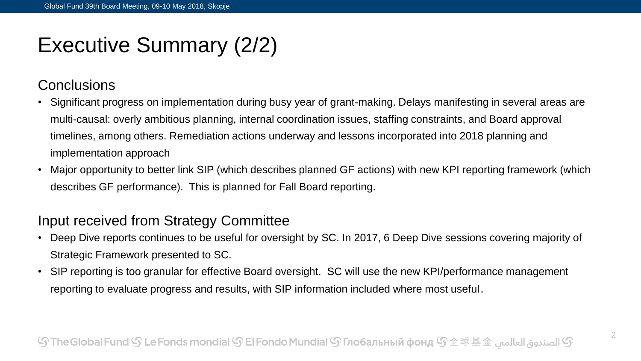# Executive Summary (2/2)

## **Conclusions**

- Significant progress on implementation during busy year of grant-making. Delays manifesting in several areas are multi-causal: overly ambitious planning, internal coordination issues, staffing constraints, and Board approval timelines, among others. Remediation actions underway and lessons incorporated into 2018 planning and implementation approach
- Major opportunity to better link SIP (which describes planned GF actions) with new KPI reporting framework (which describes GF performance). This is planned for Fall Board reporting.

### Input received from Strategy Committee

- Deep Dive reports continues to be useful for oversight by SC. In 2017, 6 Deep Dive sessions covering majority of Strategic Framework presented to SC.
- SIP reporting is too granular for effective Board oversight. SC will use the new KPI/performance management reporting to evaluate progress and results, with SIP information included where most useful.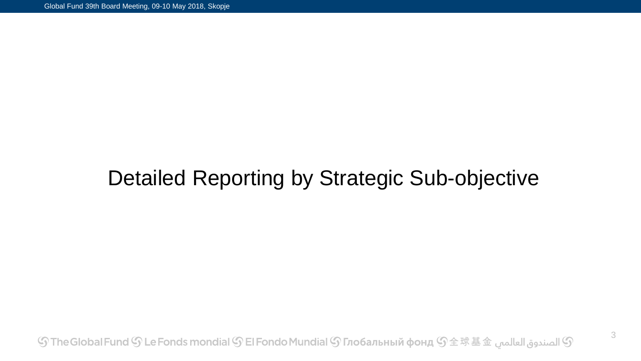## Detailed Reporting by Strategic Sub-objective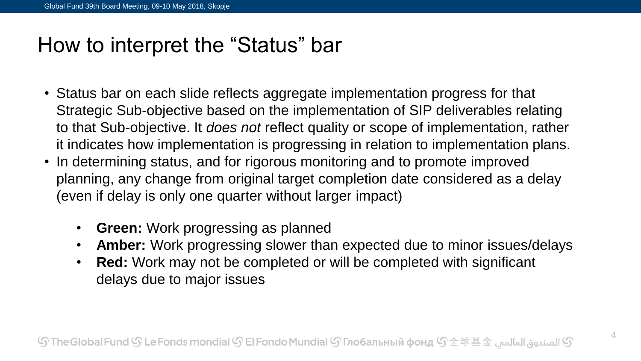## How to interpret the "Status" bar

- Status bar on each slide reflects aggregate implementation progress for that Strategic Sub-objective based on the implementation of SIP deliverables relating to that Sub-objective. It *does not* reflect quality or scope of implementation, rather it indicates how implementation is progressing in relation to implementation plans.
- In determining status, and for rigorous monitoring and to promote improved planning, any change from original target completion date considered as a delay (even if delay is only one quarter without larger impact)
	- **Green:** Work progressing as planned
	- **Amber:** Work progressing slower than expected due to minor issues/delays
	- **Red:** Work may not be completed or will be completed with significant delays due to major issues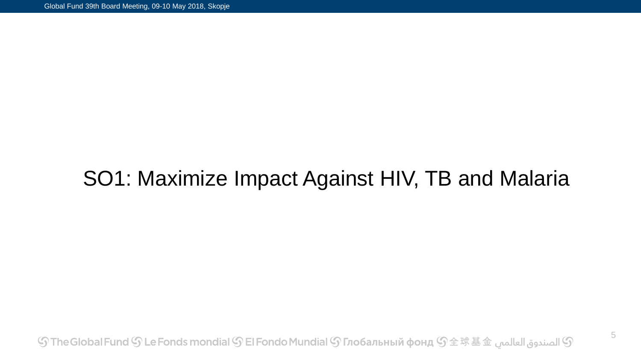## SO1: Maximize Impact Against HIV, TB and Malaria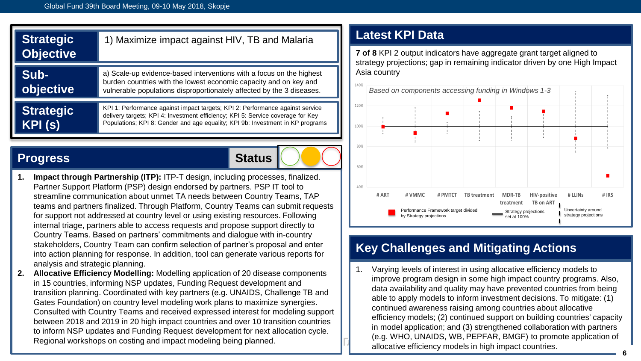| <b>Strategic</b><br><b>Objective</b> | 1) Maximize impact against HIV, TB and Malaria                                                                                                                                                                                                     |
|--------------------------------------|----------------------------------------------------------------------------------------------------------------------------------------------------------------------------------------------------------------------------------------------------|
| Sub-<br>objective                    | a) Scale-up evidence-based interventions with a focus on the highest<br>burden countries with the lowest economic capacity and on key and<br>vulnerable populations disproportionately affected by the 3 diseases.                                 |
| <b>Strategic</b><br>$ KP $ (s)       | KPI 1: Performance against impact targets; KPI 2: Performance against service<br>delivery targets; KPI 4: Investment efficiency; KPI 5: Service coverage for Key<br>Populations; KPI 8: Gender and age equality; KPI 9b: Investment in KP programs |



- **1. Impact through Partnership (ITP):** ITP-T design, including processes, finalized. Partner Support Platform (PSP) design endorsed by partners. PSP IT tool to streamline communication about unmet TA needs between Country Teams, TAP teams and partners finalized. Through Platform, Country Teams can submit requests for support not addressed at country level or using existing resources. Following internal triage, partners able to access requests and propose support directly to Country Teams. Based on partners' commitments and dialogue with in-country stakeholders, Country Team can confirm selection of partner's proposal and enter into action planning for response. In addition, tool can generate various reports for analysis and strategic planning.
- **2. Allocative Efficiency Modelling:** Modelling application of 20 disease components in 15 countries, informing NSP updates, Funding Request development and transition planning. Coordinated with key partners (e.g. UNAIDS, Challenge TB and Gates Foundation) on country level modeling work plans to maximize synergies. Consulted with Country Teams and received expressed interest for modeling support between 2018 and 2019 in 20 high impact countries and over 10 transition countries to inform NSP updates and Funding Request development for next allocation cycle. Regional workshops on costing and impact modeling being planned.

### **Latest KPI Data**

**7 of 8** KPI 2 output indicators have aggregate grant target aligned to strategy projections; gap in remaining indicator driven by one High Impact Asia country



### **Key Challenges and Mitigating Actions**

Varying levels of interest in using allocative efficiency models to improve program design in some high impact country programs. Also, data availability and quality may have prevented countries from being able to apply models to inform investment decisions. To mitigate: (1) continued awareness raising among countries about allocative efficiency models; (2) continued support on building countries' capacity in model application; and (3) strengthened collaboration with partners (e.g. WHO, UNAIDS, WB, PEPFAR, BMGF) to promote application of allocative efficiency models in high impact countries.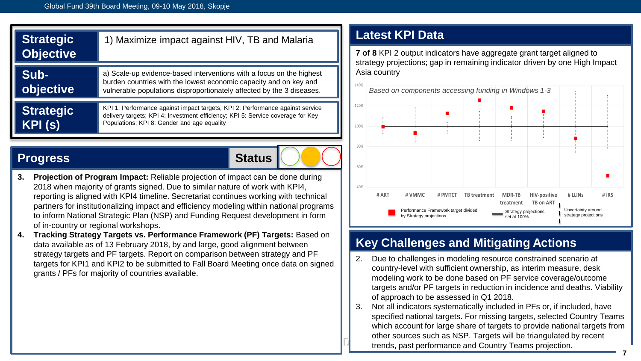| <b>Strategic</b><br><b>Objective</b> | 1) Maximize impact against HIV, TB and Malaria                                                                                                                                                                     |
|--------------------------------------|--------------------------------------------------------------------------------------------------------------------------------------------------------------------------------------------------------------------|
| Sub-<br>objective                    | a) Scale-up evidence-based interventions with a focus on the highest<br>burden countries with the lowest economic capacity and on key and<br>vulnerable populations disproportionately affected by the 3 diseases. |
| <b>Strategic</b><br>KPI(s)           | KPI 1: Performance against impact targets; KPI 2: Performance against service<br>delivery targets; KPI 4: Investment efficiency; KPI 5: Service coverage for Key<br>Populations; KPI 8: Gender and age equality    |



- **3. Projection of Program Impact:** Reliable projection of impact can be done during 2018 when majority of grants signed. Due to similar nature of work with KPI4, reporting is aligned with KPI4 timeline. Secretariat continues working with technical partners for institutionalizing impact and efficiency modeling within national programs to inform National Strategic Plan (NSP) and Funding Request development in form of in-country or regional workshops.
- **4. Tracking Strategy Targets vs. Performance Framework (PF) Targets:** Based on data available as of 13 February 2018, by and large, good alignment between strategy targets and PF targets. Report on comparison between strategy and PF targets for KPI1 and KPI2 to be submitted to Fall Board Meeting once data on signed grants / PFs for majority of countries available.

### **Latest KPI Data**

**7 of 8** KPI 2 output indicators have aggregate grant target aligned to strategy projections; gap in remaining indicator driven by one High Impact Asia country



- 2. Due to challenges in modeling resource constrained scenario at country-level with sufficient ownership, as interim measure, desk modeling work to be done based on PF service coverage/outcome targets and/or PF targets in reduction in incidence and deaths. Viability of approach to be assessed in Q1 2018.
- 3. Not all indicators systematically included in PFs or, if included, have specified national targets. For missing targets, selected Country Teams which account for large share of targets to provide national targets from other sources such as NSP. Targets will be triangulated by recent trends, past performance and Country Teams projection.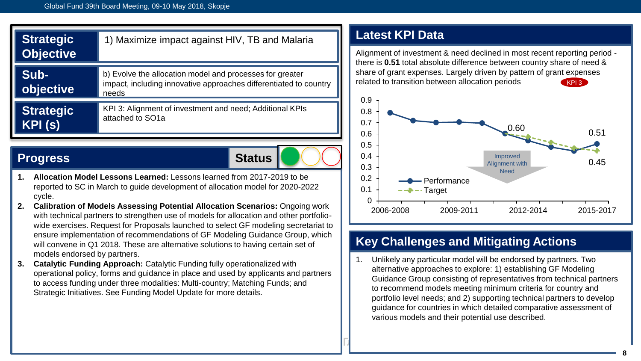| <b>Strategic</b><br><b>Objective</b> | 1) Maximize impact against HIV, TB and Malaria                                                                                         |
|--------------------------------------|----------------------------------------------------------------------------------------------------------------------------------------|
| Sub-<br>objective                    | b) Evolve the allocation model and processes for greater<br>impact, including innovative approaches differentiated to country<br>needs |
| <b>Strategic</b><br>$ KP $ (s)       | KPI 3: Alignment of investment and need; Additional KPIs<br>attached to SO1a                                                           |



- **1. Allocation Model Lessons Learned:** Lessons learned from 2017-2019 to be reported to SC in March to guide development of allocation model for 2020-2022 cycle.
- **2. Calibration of Models Assessing Potential Allocation Scenarios:** Ongoing work with technical partners to strengthen use of models for allocation and other portfoliowide exercises. Request for Proposals launched to select GF modeling secretariat to ensure implementation of recommendations of GF Modeling Guidance Group, which will convene in Q1 2018. These are alternative solutions to having certain set of models endorsed by partners.
- **3. Catalytic Funding Approach:** Catalytic Funding fully operationalized with operational policy, forms and guidance in place and used by applicants and partners to access funding under three modalities: Multi-country; Matching Funds; and Strategic Initiatives. See Funding Model Update for more details.

### **Latest KPI Data**

Alignment of investment & need declined in most recent reporting period there is **0.51** total absolute difference between country share of need & share of grant expenses. Largely driven by pattern of grant expenses related to transition between allocation periods KPI 3



### **Key Challenges and Mitigating Actions**

1. Unlikely any particular model will be endorsed by partners. Two alternative approaches to explore: 1) establishing GF Modeling Guidance Group consisting of representatives from technical partners to recommend models meeting minimum criteria for country and portfolio level needs; and 2) supporting technical partners to develop guidance for countries in which detailed comparative assessment of various models and their potential use described.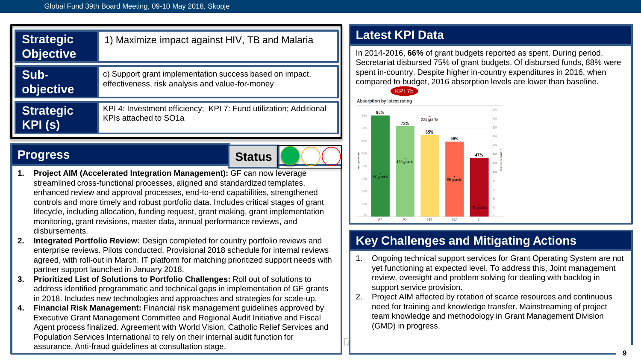| <b>Strategic</b><br><b>Objective</b> | 1) Maximize impact against HIV, TB and Malaria                    |
|--------------------------------------|-------------------------------------------------------------------|
| Sub-                                 | c) Support grant implementation success based on impact,          |
| objective                            | effectiveness, risk analysis and value-for-money                  |
| <b>Strategic</b>                     | KPI 4: Investment efficiency; KPI 7: Fund utilization; Additional |
| KPI(s)                               | KPIs attached to SO1a                                             |



- **1. Project AIM (Accelerated Integration Management):** GF can now leverage streamlined cross-functional processes, aligned and standardized templates, enhanced review and approval processes, end-to-end capabilities, strengthened controls and more timely and robust portfolio data. Includes critical stages of grant lifecycle, including allocation, funding request, grant making, grant implementation monitoring, grant revisions, master data, annual performance reviews, and disbursements.
- **2. Integrated Portfolio Review:** Design completed for country portfolio reviews and enterprise reviews. Pilots conducted. Provisional 2018 schedule for internal reviews agreed, with roll-out in March. IT platform for matching prioritized support needs with partner support launched in January 2018.
- **3. Prioritized List of Solutions to Portfolio Challenges:** Roll out of solutions to address identified programmatic and technical gaps in implementation of GF grants in 2018. Includes new technologies and approaches and strategies for scale-up.
- **4. Financial Risk Management:** Financial risk management guidelines approved by Executive Grant Management Committee and Regional Audit Initiative and Fiscal Agent process finalized. Agreement with World Vision, Catholic Relief Services and Population Services International to rely on their internal audit function for assurance. Anti-fraud guidelines at consultation stage.

### **Latest KPI Data**

In 2014-2016, **66%** of grant budgets reported as spent. During period, Secretariat disbursed 75% of grant budgets. Of disbursed funds, 88% were spent in-country. Despite higher in-country expenditures in 2016, when compared to budget, 2016 absorption levels are lower than baseline.



**Absorption by latest rating** 



- 1. Ongoing technical support services for Grant Operating System are not yet functioning at expected level. To address this, Joint management review, oversight and problem solving for dealing with backlog in support service provision.
- 2. Project AIM affected by rotation of scarce resources and continuous need for training and knowledge transfer. Mainstreaming of project team knowledge and methodology in Grant Management Division (GMD) in progress.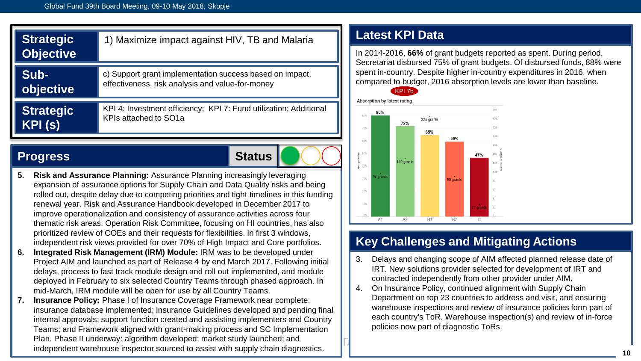| <b>Strategic</b><br><b>Objective</b> | 1) Maximize impact against HIV, TB and Malaria                    |
|--------------------------------------|-------------------------------------------------------------------|
| Sub-                                 | c) Support grant implementation success based on impact,          |
| objective                            | effectiveness, risk analysis and value-for-money                  |
| <b>Strategic</b>                     | KPI 4: Investment efficiency; KPI 7: Fund utilization; Additional |
| $ KP $ (s)                           | KPIs attached to SO1a                                             |



- **5. Risk and Assurance Planning:** Assurance Planning increasingly leveraging expansion of assurance options for Supply Chain and Data Quality risks and being rolled out, despite delay due to competing priorities and tight timelines in this funding renewal year. Risk and Assurance Handbook developed in December 2017 to improve operationalization and consistency of assurance activities across four thematic risk areas. Operation Risk Committee, focusing on HI countries, has also prioritized review of COEs and their requests for flexibilities. In first 3 windows, independent risk views provided for over 70% of High Impact and Core portfolios.
- **6. Integrated Risk Management (IRM) Module:** IRM was to be developed under Project AIM and launched as part of Release 4 by end March 2017. Following initial delays, process to fast track module design and roll out implemented, and module deployed in February to six selected Country Teams through phased approach. In mid-March, IRM module will be open for use by all Country Teams.
- **7. Insurance Policy:** Phase I of Insurance Coverage Framework near complete: insurance database implemented; Insurance Guidelines developed and pending final internal approvals; support function created and assisting implementers and Country Teams; and Framework aligned with grant-making process and SC Implementation Plan. Phase II underway: algorithm developed; market study launched; and independent warehouse inspector sourced to assist with supply chain diagnostics.

### **Latest KPI Data**

In 2014-2016, **66%** of grant budgets reported as spent. During period, Secretariat disbursed 75% of grant budgets. Of disbursed funds, 88% were spent in-country. Despite higher in-country expenditures in 2016, when compared to budget, 2016 absorption levels are lower than baseline.



**Absorption by latest rating** 



- 3. Delays and changing scope of AIM affected planned release date of IRT. New solutions provider selected for development of IRT and contracted independently from other provider under AIM.
- 4. On Insurance Policy, continued alignment with Supply Chain Department on top 23 countries to address and visit, and ensuring warehouse inspections and review of insurance policies form part of each country's ToR. Warehouse inspection(s) and review of in-force policies now part of diagnostic ToRs.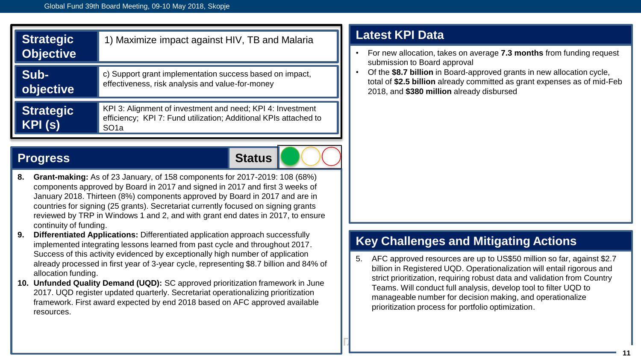| <b>Strategic</b><br><b>Objective</b> | 1) Maximize impact against HIV, TB and Malaria                                                                                                      |
|--------------------------------------|-----------------------------------------------------------------------------------------------------------------------------------------------------|
| Sub-<br>objective                    | c) Support grant implementation success based on impact,<br>effectiveness, risk analysis and value-for-money                                        |
| <b>Strategic</b><br>KPI(S)           | KPI 3: Alignment of investment and need; KPI 4: Investment<br>efficiency; KPI 7: Fund utilization; Additional KPIs attached to<br>SO <sub>1</sub> a |



- **8. Grant-making:** As of 23 January, of 158 components for 2017-2019: 108 (68%) components approved by Board in 2017 and signed in 2017 and first 3 weeks of January 2018. Thirteen (8%) components approved by Board in 2017 and are in countries for signing (25 grants). Secretariat currently focused on signing grants reviewed by TRP in Windows 1 and 2, and with grant end dates in 2017, to ensure continuity of funding.
- **9. Differentiated Applications:** Differentiated application approach successfully implemented integrating lessons learned from past cycle and throughout 2017. Success of this activity evidenced by exceptionally high number of application already processed in first year of 3-year cycle, representing \$8.7 billion and 84% of allocation funding.
- **10. Unfunded Quality Demand (UQD):** SC approved prioritization framework in June 2017. UQD register updated quarterly. Secretariat operationalizing prioritization framework. First award expected by end 2018 based on AFC approved available resources.

### **Latest KPI Data**

- For new allocation, takes on average **7.3 months** from funding request submission to Board approval
- Of the **\$8.7 billion** in Board-approved grants in new allocation cycle, total of **\$2.5 billion** already committed as grant expenses as of mid-Feb 2018, and **\$380 million** already disbursed

### **Key Challenges and Mitigating Actions**

5. AFC approved resources are up to US\$50 million so far, against \$2.7 billion in Registered UQD. Operationalization will entail rigorous and strict prioritization, requiring robust data and validation from Country Teams. Will conduct full analysis, develop tool to filter UQD to manageable number for decision making, and operationalize prioritization process for portfolio optimization.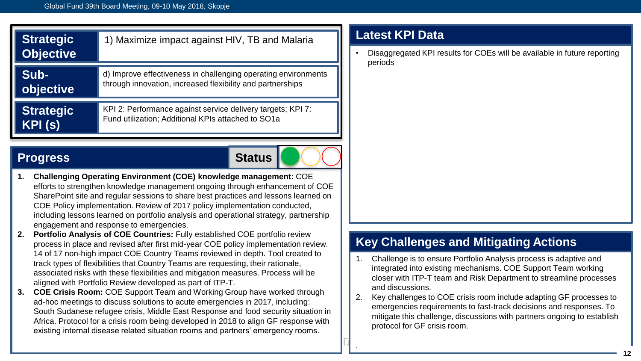| <b>Strategic</b><br><b>Objective</b> | 1) Maximize impact against HIV, TB and Malaria                 |
|--------------------------------------|----------------------------------------------------------------|
| Sub-                                 | d) Improve effectiveness in challenging operating environments |
| objective                            | through innovation, increased flexibility and partnerships     |
| <b>Strategic</b>                     | KPI 2: Performance against service delivery targets; KPI 7:    |
| KPI(s)                               | Fund utilization; Additional KPIs attached to SO1a             |



- **1. Challenging Operating Environment (COE) knowledge management:** COE efforts to strengthen knowledge management ongoing through enhancement of COE SharePoint site and regular sessions to share best practices and lessons learned on COE Policy implementation. Review of 2017 policy implementation conducted, including lessons learned on portfolio analysis and operational strategy, partnership engagement and response to emergencies.
- **2. Portfolio Analysis of COE Countries:** Fully established COE portfolio review process in place and revised after first mid-year COE policy implementation review. 14 of 17 non-high impact COE Country Teams reviewed in depth. Tool created to track types of flexibilities that Country Teams are requesting, their rationale, associated risks with these flexibilities and mitigation measures. Process will be aligned with Portfolio Review developed as part of ITP-T.
- **3. COE Crisis Room:** COE Support Team and Working Group have worked through ad-hoc meetings to discuss solutions to acute emergencies in 2017, including: South Sudanese refugee crisis, Middle East Response and food security situation in Africa. Protocol for a crisis room being developed in 2018 to align GF response with existing internal disease related situation rooms and partners' emergency rooms.

### **Latest KPI Data**

.

• Disaggregated KPI results for COEs will be available in future reporting periods

- 1. Challenge is to ensure Portfolio Analysis process is adaptive and integrated into existing mechanisms. COE Support Team working closer with ITP-T team and Risk Department to streamline processes and discussions.
- 2. Key challenges to COE crisis room include adapting GF processes to emergencies requirements to fast-track decisions and responses. To mitigate this challenge, discussions with partners ongoing to establish protocol for GF crisis room.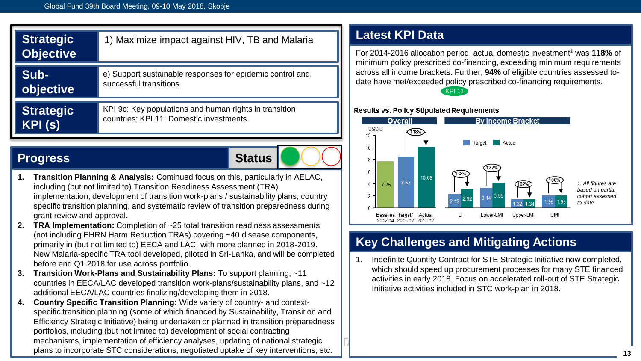| <b>Strategic</b><br><b>Objective</b> | 1) Maximize impact against HIV, TB and Malaria            |
|--------------------------------------|-----------------------------------------------------------|
| Sub-                                 | e) Support sustainable responses for epidemic control and |
| objective                            | successful transitions                                    |
| <b>Strategic</b>                     | KPI 9c: Key populations and human rights in transition    |
| KPI(s)                               | countries; KPI 11: Domestic investments                   |



- **1. Transition Planning & Analysis:** Continued focus on this, particularly in AELAC, including (but not limited to) Transition Readiness Assessment (TRA) implementation, development of transition work-plans / sustainability plans, country specific transition planning, and systematic review of transition preparedness during grant review and approval.
- **2. TRA Implementation:** Completion of ~25 total transition readiness assessments (not including EHRN Harm Reduction TRAs) covering ~40 disease components, primarily in (but not limited to) EECA and LAC, with more planned in 2018-2019. New Malaria-specific TRA tool developed, piloted in Sri-Lanka, and will be completed before end Q1 2018 for use across portfolio.
- **3. Transition Work-Plans and Sustainability Plans:** To support planning, ~11 countries in EECA/LAC developed transition work-plans/sustainability plans, and ~12 additional EECA/LAC countries finalizing/developing them in 2018.
- **4. Country Specific Transition Planning:** Wide variety of country- and contextspecific transition planning (some of which financed by Sustainability, Transition and Efficiency Strategic Initiative) being undertaken or planned in transition preparedness portfolios, including (but not limited to) development of social contracting mechanisms, implementation of efficiency analyses, updating of national strategic plans to incorporate STC considerations, negotiated uptake of key interventions, etc.

### **Latest KPI Data**

For 2014-2016 allocation period, actual domestic investment**<sup>1</sup>** was **118%** of minimum policy prescribed co-financing, exceeding minimum requirements across all income brackets. Further, **94%** of eligible countries assessed todate have met/exceeded policy prescribed co-financing requirements.



#### **Results vs. Policy Stipulated Requirements**



### **Key Challenges and Mitigating Actions**

1. Indefinite Quantity Contract for STE Strategic Initiative now completed, which should speed up procurement processes for many STE financed activities in early 2018. Focus on accelerated roll-out of STE Strategic Initiative activities included in STC work-plan in 2018.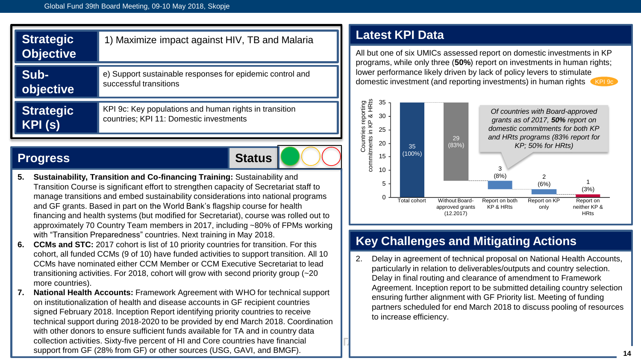| <b>Strategic</b><br><b>Objective</b> | 1) Maximize impact against HIV, TB and Malaria            |
|--------------------------------------|-----------------------------------------------------------|
| Sub-                                 | e) Support sustainable responses for epidemic control and |
| objective                            | successful transitions                                    |
| <b>Strategic</b>                     | KPI 9c: Key populations and human rights in transition    |
| $\overline{KPI}(s)$                  | countries; KPI 11: Domestic investments                   |



- **5. Sustainability, Transition and Co-financing Training:** Sustainability and Transition Course is significant effort to strengthen capacity of Secretariat staff to manage transitions and embed sustainability considerations into national programs and GF grants. Based in part on the World Bank's flagship course for health financing and health systems (but modified for Secretariat), course was rolled out to approximately 70 Country Team members in 2017, including ~80% of FPMs working with "Transition Preparedness" countries. Next training in May 2018.
- **6. CCMs and STC:** 2017 cohort is list of 10 priority countries for transition. For this cohort, all funded CCMs (9 of 10) have funded activities to support transition. All 10 CCMs have nominated either CCM Member or CCM Executive Secretariat to lead transitioning activities. For 2018, cohort will grow with second priority group (~20 more countries).
- **7. National Health Accounts:** Framework Agreement with WHO for technical support on institutionalization of health and disease accounts in GF recipient countries signed February 2018. Inception Report identifying priority countries to receive technical support during 2018-2020 to be provided by end March 2018. Coordination with other donors to ensure sufficient funds available for TA and in country data collection activities. Sixty-five percent of HI and Core countries have financial support from GF (28% from GF) or other sources (USG, GAVI, and BMGF).

### **Latest KPI Data**

All but one of six UMICs assessed report on domestic investments in KP programs, while only three (**50%**) report on investments in human rights; lower performance likely driven by lack of policy levers to stimulate domestic investment (and reporting investments) in human rights KPI 9c



### **Key Challenges and Mitigating Actions**

2. Delay in agreement of technical proposal on National Health Accounts, particularly in relation to deliverables/outputs and country selection. Delay in final routing and clearance of amendment to Framework Agreement. Inception report to be submitted detailing country selection ensuring further alignment with GF Priority list. Meeting of funding partners scheduled for end March 2018 to discuss pooling of resources to increase efficiency.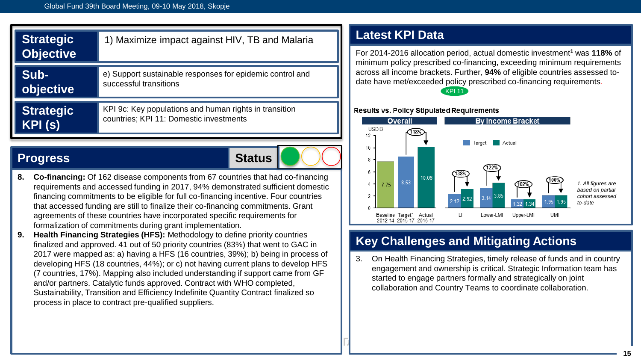| <b>Strategic</b><br><b>Objective</b> | 1) Maximize impact against HIV, TB and Malaria            |
|--------------------------------------|-----------------------------------------------------------|
| Sub-                                 | e) Support sustainable responses for epidemic control and |
| objective                            | successful transitions                                    |
| <b>Strategic</b>                     | KPI 9c: Key populations and human rights in transition    |
| KPI(s)                               | countries; KPI 11: Domestic investments                   |



- **8. Co-financing:** Of 162 disease components from 67 countries that had co-financing requirements and accessed funding in 2017, 94% demonstrated sufficient domestic financing commitments to be eligible for full co-financing incentive. Four countries that accessed funding are still to finalize their co-financing commitments. Grant agreements of these countries have incorporated specific requirements for formalization of commitments during grant implementation.
- **9. Health Financing Strategies (HFS):** Methodology to define priority countries finalized and approved. 41 out of 50 priority countries (83%) that went to GAC in 2017 were mapped as: a) having a HFS (16 countries, 39%); b) being in process of developing HFS (18 countries, 44%); or c) not having current plans to develop HFS (7 countries, 17%). Mapping also included understanding if support came from GF and/or partners. Catalytic funds approved. Contract with WHO completed, Sustainability, Transition and Efficiency Indefinite Quantity Contract finalized so process in place to contract pre-qualified suppliers.

### **Latest KPI Data**

For 2014-2016 allocation period, actual domestic investment**<sup>1</sup>** was **118%** of minimum policy prescribed co-financing, exceeding minimum requirements across all income brackets. Further, **94%** of eligible countries assessed todate have met/exceeded policy prescribed co-financing requirements.



#### **Results vs. Policy Stipulated Requirements**



### **Key Challenges and Mitigating Actions**

3. On Health Financing Strategies, timely release of funds and in country engagement and ownership is critical. Strategic Information team has started to engage partners formally and strategically on joint collaboration and Country Teams to coordinate collaboration.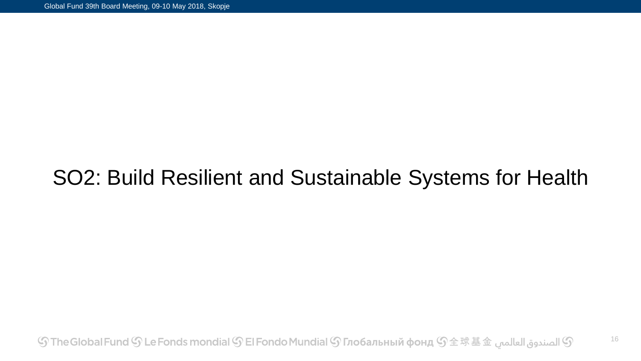## SO2: Build Resilient and Sustainable Systems for Health

16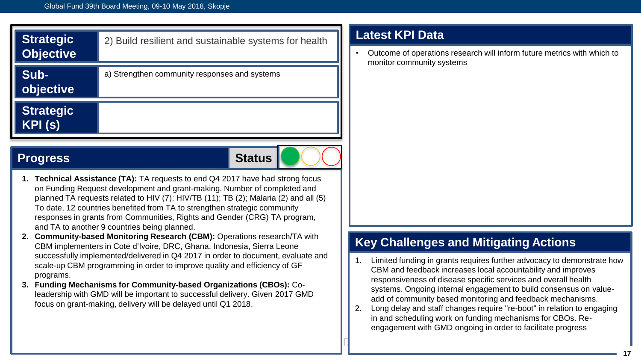| <b>Strategic</b><br><b>Objective</b> | 2) Build resilient and sustainable systems for health |
|--------------------------------------|-------------------------------------------------------|
| Sub-<br>objective                    | a) Strengthen community responses and systems         |
| <b>Strategic</b><br>KPI(s)           |                                                       |

**Status**

- **1. Technical Assistance (TA):** TA requests to end Q4 2017 have had strong focus on Funding Request development and grant-making. Number of completed and planned TA requests related to HIV (7); HIV/TB (11); TB (2); Malaria (2) and all (5) To date, 12 countries benefited from TA to strengthen strategic community responses in grants from Communities, Rights and Gender (CRG) TA program, and TA to another 9 countries being planned.
- **2. Community-based Monitoring Research (CBM):** Operations research/TA with CBM implementers in Cote d'Ivoire, DRC, Ghana, Indonesia, Sierra Leone successfully implemented/delivered in Q4 2017 in order to document, evaluate and scale-up CBM programming in order to improve quality and efficiency of GF programs.
- **3. Funding Mechanisms for Community-based Organizations (CBOs):** Coleadership with GMD will be important to successful delivery. Given 2017 GMD focus on grant-making, delivery will be delayed until Q1 2018.

### **Latest KPI Data**

• Outcome of operations research will inform future metrics with which to monitor community systems

- 1. Limited funding in grants requires further advocacy to demonstrate how CBM and feedback increases local accountability and improves responsiveness of disease specific services and overall health systems. Ongoing internal engagement to build consensus on valueadd of community based monitoring and feedback mechanisms.
- 2. Long delay and staff changes require "re-boot" in relation to engaging in and scheduling work on funding mechanisms for CBOs. Reengagement with GMD ongoing in order to facilitate progress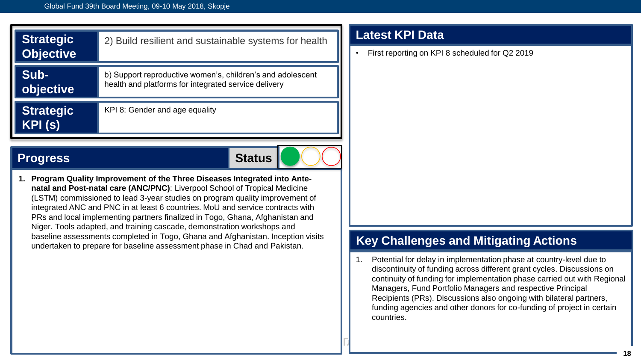| <b>Strategic</b><br><b>Objective</b> | 2) Build resilient and sustainable systems for health                                                              |
|--------------------------------------|--------------------------------------------------------------------------------------------------------------------|
| Sub-<br>objective                    | b) Support reproductive women's, children's and adolescent<br>health and platforms for integrated service delivery |
| <b>Strategic</b><br>KPI (s)          | KPI 8: Gender and age equality                                                                                     |

**Status**

**1. Program Quality Improvement of the Three Diseases Integrated into Antenatal and Post-natal care (ANC/PNC)**: Liverpool School of Tropical Medicine (LSTM) commissioned to lead 3-year studies on program quality improvement of integrated ANC and PNC in at least 6 countries. MoU and service contracts with PRs and local implementing partners finalized in Togo, Ghana, Afghanistan and Niger. Tools adapted, and training cascade, demonstration workshops and baseline assessments completed in Togo, Ghana and Afghanistan. Inception visits undertaken to prepare for baseline assessment phase in Chad and Pakistan.

### **Latest KPI Data**

• First reporting on KPI 8 scheduled for Q2 2019

### **Key Challenges and Mitigating Actions**

1. Potential for delay in implementation phase at country-level due to discontinuity of funding across different grant cycles. Discussions on continuity of funding for implementation phase carried out with Regional Managers, Fund Portfolio Managers and respective Principal Recipients (PRs). Discussions also ongoing with bilateral partners, funding agencies and other donors for co-funding of project in certain countries.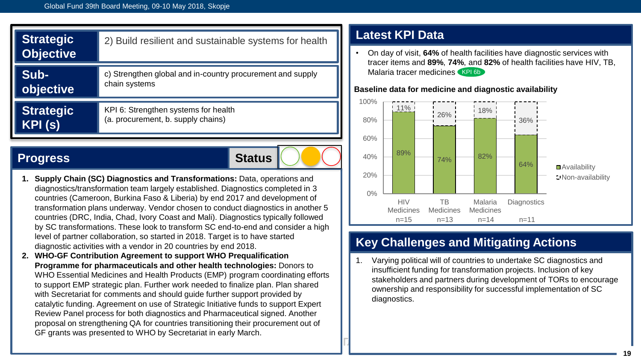| <b>Strategic</b><br><b>Objective</b>                         | 2) Build resilient and sustainable systems for health      |
|--------------------------------------------------------------|------------------------------------------------------------|
| Sub-                                                         | c) Strengthen global and in-country procurement and supply |
| objective                                                    | chain systems                                              |
| <b>Strategic</b>                                             | KPI 6: Strengthen systems for health                       |
| $\overline{\mathsf{KPI}}\left( \mathsf{s}\right) ^{\dagger}$ | (a. procurement, b. supply chains)                         |

**Status**

- **1. Supply Chain (SC) Diagnostics and Transformations:** Data, operations and diagnostics/transformation team largely established. Diagnostics completed in 3 countries (Cameroon, Burkina Faso & Liberia) by end 2017 and development of transformation plans underway. Vendor chosen to conduct diagnostics in another 5 countries (DRC, India, Chad, Ivory Coast and Mali). Diagnostics typically followed by SC transformations. These look to transform SC end-to-end and consider a high level of partner collaboration, so started in 2018. Target is to have started diagnostic activities with a vendor in 20 countries by end 2018.
- **2. WHO-GF Contribution Agreement to support WHO Prequalification Programme for pharmaceuticals and other health technologies:** Donors to WHO Essential Medicines and Health Products (EMP) program coordinating efforts to support EMP strategic plan. Further work needed to finalize plan. Plan shared with Secretariat for comments and should guide further support provided by catalytic funding. Agreement on use of Strategic Initiative funds to support Expert Review Panel process for both diagnostics and Pharmaceutical signed. Another proposal on strengthening QA for countries transitioning their procurement out of GF grants was presented to WHO by Secretariat in early March.

### **Latest KPI Data**

• On day of visit, **64%** of health facilities have diagnostic services with tracer items and **89%**, **74%**, and **82%** of health facilities have HIV, TB, Malaria tracer medicines KPI 6b

#### **Baseline data for medicine and diagnostic availability**



### **Key Challenges and Mitigating Actions**

1. Varying political will of countries to undertake SC diagnostics and insufficient funding for transformation projects. Inclusion of key stakeholders and partners during development of TORs to encourage ownership and responsibility for successful implementation of SC diagnostics.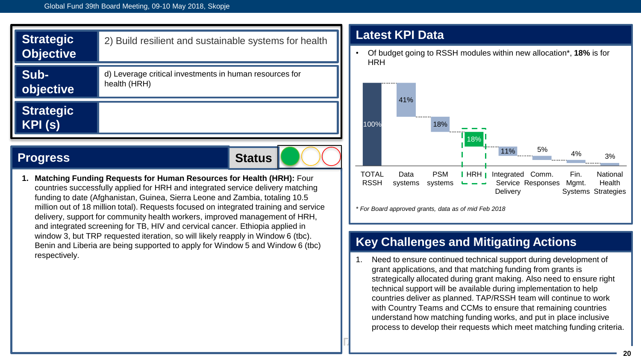| <b>Strategic</b><br><b>Objective</b> | 2) Build resilient and sustainable systems for health                   |
|--------------------------------------|-------------------------------------------------------------------------|
| Sub-<br>objective                    | d) Leverage critical investments in human resources for<br>health (HRH) |
| <b>Strategic</b><br>KPI(s)           |                                                                         |

**Status**

**1. Matching Funding Requests for Human Resources for Health (HRH):** Four countries successfully applied for HRH and integrated service delivery matching funding to date (Afghanistan, Guinea, Sierra Leone and Zambia, totaling 10.5 million out of 18 million total). Requests focused on integrated training and service delivery, support for community health workers, improved management of HRH, and integrated screening for TB, HIV and cervical cancer. Ethiopia applied in window 3, but TRP requested iteration, so will likely reapply in Window 6 (tbc). Benin and Liberia are being supported to apply for Window 5 and Window 6 (tbc) respectively.

### **Latest KPI Data**

• Of budget going to RSSH modules within new allocation\*, **18%** is for **HRH** 



*\* For Board approved grants, data as of mid Feb 2018*

### **Key Challenges and Mitigating Actions**

Need to ensure continued technical support during development of grant applications, and that matching funding from grants is strategically allocated during grant making. Also need to ensure right technical support will be available during implementation to help countries deliver as planned. TAP/RSSH team will continue to work with Country Teams and CCMs to ensure that remaining countries understand how matching funding works, and put in place inclusive process to develop their requests which meet matching funding criteria.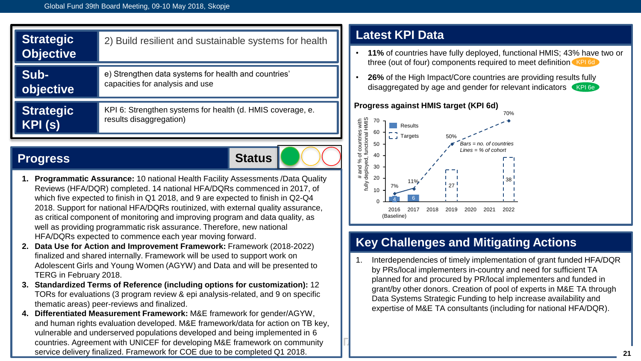| <b>Strategic</b><br><b>Objective</b> | 2) Build resilient and sustainable systems for health      |
|--------------------------------------|------------------------------------------------------------|
| Sub-                                 | e) Strengthen data systems for health and countries'       |
| objective                            | capacities for analysis and use                            |
| <b>Strategic</b>                     | KPI 6: Strengthen systems for health (d. HMIS coverage, e. |
| KPI(s)                               | results disaggregation)                                    |



- **1. Programmatic Assurance:** 10 national Health Facility Assessments /Data Quality Reviews (HFA/DQR) completed. 14 national HFA/DQRs commenced in 2017, of which five expected to finish in Q1 2018, and 9 are expected to finish in Q2-Q4 2018. Support for national HFA/DQRs routinized, with external quality assurance, as critical component of monitoring and improving program and data quality, as well as providing programmatic risk assurance. Therefore, new national HFA/DQRs expected to commence each year moving forward.
- **2. Data Use for Action and Improvement Framework:** Framework (2018-2022) finalized and shared internally. Framework will be used to support work on Adolescent Girls and Young Women (AGYW) and Data and will be presented to TERG in February 2018.
- **3. Standardized Terms of Reference (including options for customization):** 12 TORs for evaluations (3 program review & epi analysis-related, and 9 on specific thematic areas) peer-reviews and finalized.
- **4. Differentiated Measurement Framework:** M&E framework for gender/AGYW, and human rights evaluation developed. M&E framework/data for action on TB key, vulnerable and underserved populations developed and being implemented in 6 countries. Agreement with UNICEF for developing M&E framework on community service delivery finalized. Framework for COE due to be completed Q1 2018.

### **Latest KPI Data**

- **11%** of countries have fully deployed, functional HMIS; 43% have two or three (out of four) components required to meet definition KPI 6d
- **26%** of the High Impact/Core countries are providing results fully disaggregated by age and gender for relevant indicators **KPI 6e**

#### **Progress against HMIS target (KPI 6d)**



### **Key Challenges and Mitigating Actions**

1. Interdependencies of timely implementation of grant funded HFA/DQR by PRs/local implementers in-country and need for sufficient TA planned for and procured by PR/local implementers and funded in grant/by other donors. Creation of pool of experts in M&E TA through Data Systems Strategic Funding to help increase availability and expertise of M&E TA consultants (including for national HFA/DQR).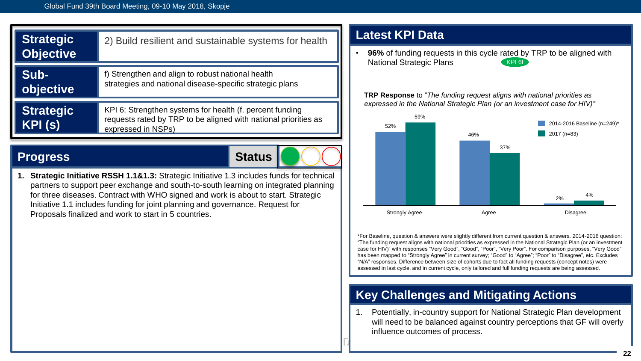| <b>Strategic</b><br><b>Objective</b>                                             | 2) Build resilient and sustainable systems for health                                                                                             |
|----------------------------------------------------------------------------------|---------------------------------------------------------------------------------------------------------------------------------------------------|
| Sub-<br>objective                                                                | f) Strengthen and align to robust national health<br>strategies and national disease-specific strategic plans                                     |
| <b>Strategic</b><br>$\overline{\mathsf{KPI}}\left( \mathsf{s}\right) ^{\dagger}$ | KPI 6: Strengthen systems for health (f. percent funding<br>requests rated by TRP to be aligned with national priorities as<br>expressed in NSPs) |



**1. Strategic Initiative RSSH 1.1&1.3:** Strategic Initiative 1.3 includes funds for technical partners to support peer exchange and south-to-south learning on integrated planning for three diseases. Contract with WHO signed and work is about to start. Strategic Initiative 1.1 includes funding for joint planning and governance. Request for Proposals finalized and work to start in 5 countries.

### **Latest KPI Data**

• **96%** of funding requests in this cycle rated by TRP to be aligned with National Strategic Plans  $KPI$  *Rf* 

**TRP Response** to "*The funding request aligns with national priorities as expressed in the National Strategic Plan (or an investment case for HIV)"*



\*For Baseline, question & answers were slightly different from current question & answers. 2014-2016 question: "The funding request aligns with national priorities as expressed in the National Strategic Plan (or an investment case for HIV)" with responses "Very Good", "Good", "Poor", "Very Poor". For comparison purposes, "Very Good" has been mapped to "Strongly Agree" in current survey; "Good" to "Agree"; "Poor" to "Disagree", etc. Excludes "N/A" responses. Difference between size of cohorts due to fact all funding requests (concept notes) were assessed in last cycle, and in current cycle, only tailored and full funding requests are being assessed.

### **Key Challenges and Mitigating Actions**

1. Potentially, in-country support for National Strategic Plan development will need to be balanced against country perceptions that GF will overly influence outcomes of process.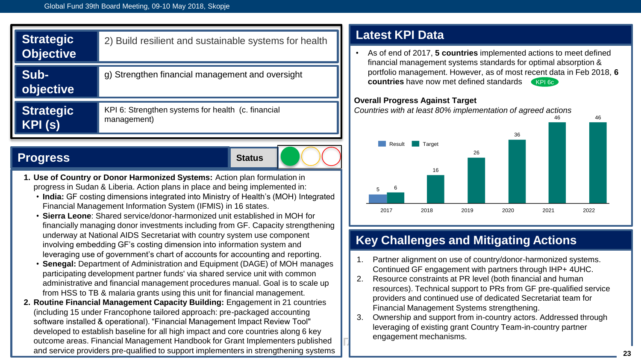| <b>Strategic</b><br><b>Objective</b> | 2) Build resilient and sustainable systems for health             |
|--------------------------------------|-------------------------------------------------------------------|
| Sub-<br>objective                    | g) Strengthen financial management and oversight                  |
| <b>Strategic</b><br>KPI (s)          | KPI 6: Strengthen systems for health (c. financial<br>management) |

**Status**

- **1. Use of Country or Donor Harmonized Systems:** Action plan formulation in progress in Sudan & Liberia. Action plans in place and being implemented in:
	- **India:** GF costing dimensions integrated into Ministry of Health's (MOH) Integrated Financial Management Information System (IFMIS) in 16 states.
	- **Sierra Leone**: Shared service/donor-harmonized unit established in MOH for financially managing donor investments including from GF. Capacity strengthening underway at National AIDS Secretariat with country system use component involving embedding GF's costing dimension into information system and leveraging use of government's chart of accounts for accounting and reporting.
	- **Senegal:** Department of Administration and Equipment (DAGE) of MOH manages participating development partner funds' via shared service unit with common administrative and financial management procedures manual. Goal is to scale up from HSS to TB & malaria grants using this unit for financial management.
- **2. Routine Financial Management Capacity Building:** Engagement in 21 countries (including 15 under Francophone tailored approach: pre-packaged accounting software installed & operational). "Financial Management Impact Review Tool" developed to establish baseline for all high impact and core countries along 6 key outcome areas. Financial Management Handbook for Grant Implementers published and service providers pre-qualified to support implementers in strengthening systems

### **Latest KPI Data**

• As of end of 2017, **5 countries** implemented actions to meet defined financial management systems standards for optimal absorption & portfolio management. However, as of most recent data in Feb 2018, **6 countries** have now met defined standards KPI 6c

#### **Overall Progress Against Target**

*Countries with at least 80% implementation of agreed actions*



- Partner alignment on use of country/donor-harmonized systems. Continued GF engagement with partners through IHP+ 4UHC.
- 2. Resource constraints at PR level (both financial and human resources). Technical support to PRs from GF pre-qualified service providers and continued use of dedicated Secretariat team for Financial Management Systems strengthening.
- 3. Ownership and support from in-country actors. Addressed through leveraging of existing grant Country Team-in-country partner engagement mechanisms.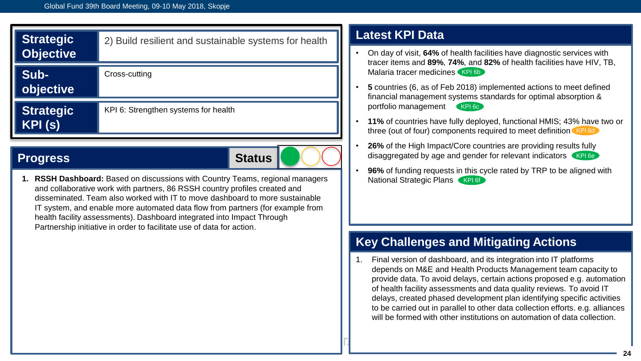| <b>Strategic</b><br><b>Objective</b> | 2) Build resilient and sustainable systems for health |
|--------------------------------------|-------------------------------------------------------|
| Sub-<br>objective                    | Cross-cutting                                         |
| <b>Strategic</b><br>KPI(s)           | KPI 6: Strengthen systems for health                  |



**1. RSSH Dashboard:** Based on discussions with Country Teams, regional managers and collaborative work with partners, 86 RSSH country profiles created and disseminated. Team also worked with IT to move dashboard to more sustainable IT system, and enable more automated data flow from partners (for example from health facility assessments). Dashboard integrated into Impact Through Partnership initiative in order to facilitate use of data for action.

### **Latest KPI Data**

- On day of visit, **64%** of health facilities have diagnostic services with tracer items and **89%**, **74%**, and **82%** of health facilities have HIV, TB, Malaria tracer medicines KPI 6b
- **5** countries (6, as of Feb 2018) implemented actions to meet defined financial management systems standards for optimal absorption & portfolio management KPI 6c
- **11%** of countries have fully deployed, functional HMIS; 43% have two or three (out of four) components required to meet definition KPI 6d
- **26%** of the High Impact/Core countries are providing results fully disaggregated by age and gender for relevant indicators KPI 6e
- **96%** of funding requests in this cycle rated by TRP to be aligned with National Strategic Plans KPI 6f

### **Key Challenges and Mitigating Actions**

1. Final version of dashboard, and its integration into IT platforms depends on M&E and Health Products Management team capacity to provide data. To avoid delays, certain actions proposed e.g. automation of health facility assessments and data quality reviews. To avoid IT delays, created phased development plan identifying specific activities to be carried out in parallel to other data collection efforts. e.g. alliances will be formed with other institutions on automation of data collection.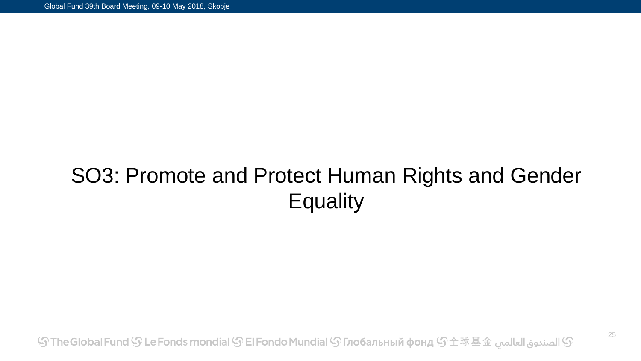# SO3: Promote and Protect Human Rights and Gender **Equality**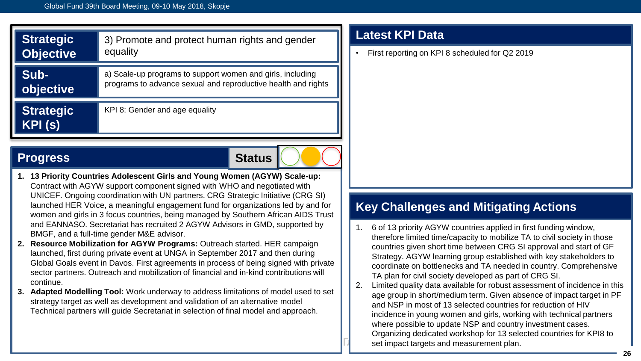| <b>Strategic</b>                 | 3) Promote and protect human rights and gender                |
|----------------------------------|---------------------------------------------------------------|
| <b>Objective</b>                 | equality                                                      |
| Sub-                             | a) Scale-up programs to support women and girls, including    |
| objective                        | programs to advance sexual and reproductive health and rights |
| <b>Strategic</b><br>$ KP $ $(s)$ | KPI 8: Gender and age equality                                |

**Status**

- **1. 13 Priority Countries Adolescent Girls and Young Women (AGYW) Scale-up:**  Contract with AGYW support component signed with WHO and negotiated with UNICEF. Ongoing coordination with UN partners. CRG Strategic Initiative (CRG SI) launched HER Voice, a meaningful engagement fund for organizations led by and for women and girls in 3 focus countries, being managed by Southern African AIDS Trust and EANNASO. Secretariat has recruited 2 AGYW Advisors in GMD, supported by BMGF, and a full-time gender M&E advisor.
- **2. Resource Mobilization for AGYW Programs:** Outreach started. HER campaign launched, first during private event at UNGA in September 2017 and then during Global Goals event in Davos. First agreements in process of being signed with private sector partners. Outreach and mobilization of financial and in-kind contributions will continue.
- **3. Adapted Modelling Tool:** Work underway to address limitations of model used to set strategy target as well as development and validation of an alternative model Technical partners will guide Secretariat in selection of final model and approach.

### **Latest KPI Data**

• First reporting on KPI 8 scheduled for Q2 2019

- 1. 6 of 13 priority AGYW countries applied in first funding window, therefore limited time/capacity to mobilize TA to civil society in those countries given short time between CRG SI approval and start of GF Strategy. AGYW learning group established with key stakeholders to coordinate on bottlenecks and TA needed in country. Comprehensive TA plan for civil society developed as part of CRG SI.
- 2. Limited quality data available for robust assessment of incidence in this age group in short/medium term. Given absence of impact target in PF and NSP in most of 13 selected countries for reduction of HIV incidence in young women and girls, working with technical partners where possible to update NSP and country investment cases. Organizing dedicated workshop for 13 selected countries for KPI8 to set impact targets and measurement plan.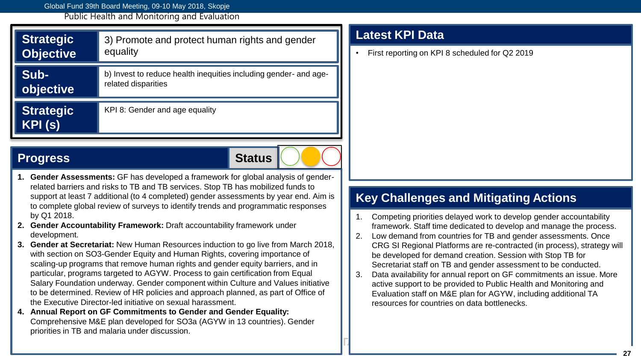Public Health and Monitoring and Evaluation

| <b>Strategic</b>           | 3) Promote and protect human rights and gender                   |
|----------------------------|------------------------------------------------------------------|
| Objective                  | equality                                                         |
| Sub-                       | b) Invest to reduce health inequities including gender- and age- |
| objective                  | related disparities                                              |
| <b>Strategic</b><br>KPI(s) | KPI 8: Gender and age equality                                   |

### **Progress**

**Status**

- **1. Gender Assessments:** GF has developed a framework for global analysis of genderrelated barriers and risks to TB and TB services. Stop TB has mobilized funds to support at least 7 additional (to 4 completed) gender assessments by year end. Aim is to complete global review of surveys to identify trends and programmatic responses by Q1 2018.
- **2. Gender Accountability Framework:** Draft accountability framework under development.
- **3. Gender at Secretariat:** New Human Resources induction to go live from March 2018, with section on SO3-Gender Equity and Human Rights, covering importance of scaling-up programs that remove human rights and gender equity barriers, and in particular, programs targeted to AGYW. Process to gain certification from Equal Salary Foundation underway. Gender component within Culture and Values initiative to be determined. Review of HR policies and approach planned, as part of Office of the Executive Director-led initiative on sexual harassment.
- **4. Annual Report on GF Commitments to Gender and Gender Equality:**  Comprehensive M&E plan developed for SO3a (AGYW in 13 countries). Gender priorities in TB and malaria under discussion.

### **Latest KPI Data**

• First reporting on KPI 8 scheduled for Q2 2019

- 1. Competing priorities delayed work to develop gender accountability framework. Staff time dedicated to develop and manage the process.
- 2. Low demand from countries for TB and gender assessments. Once CRG SI Regional Platforms are re-contracted (in process), strategy will be developed for demand creation. Session with Stop TB for Secretariat staff on TB and gender assessment to be conducted.
- 3. Data availability for annual report on GF commitments an issue. More active support to be provided to Public Health and Monitoring and Evaluation staff on M&E plan for AGYW, including additional TA resources for countries on data bottlenecks.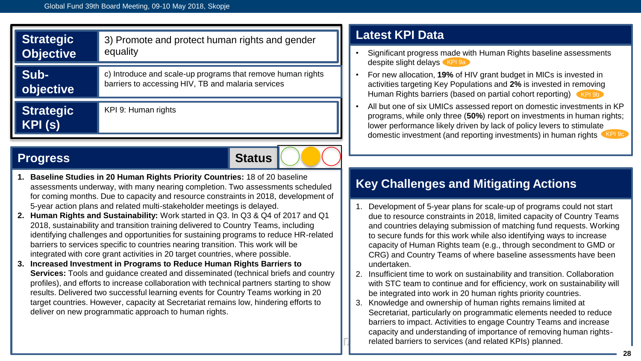| <b>Strategic</b>           | 3) Promote and protect human rights and gender              |
|----------------------------|-------------------------------------------------------------|
| <b>Objective</b>           | equality                                                    |
| Sub-                       | c) Introduce and scale-up programs that remove human rights |
| objective                  | barriers to accessing HIV, TB and malaria services          |
| <b>Strategic</b><br>KPI(s) | KPI 9: Human rights                                         |

**Status**

- **1. Baseline Studies in 20 Human Rights Priority Countries:** 18 of 20 baseline assessments underway, with many nearing completion. Two assessments scheduled for coming months. Due to capacity and resource constraints in 2018, development of 5-year action plans and related multi-stakeholder meetings is delayed.
- **2. Human Rights and Sustainability:** Work started in Q3. In Q3 & Q4 of 2017 and Q1 2018, sustainability and transition training delivered to Country Teams, including identifying challenges and opportunities for sustaining programs to reduce HR-related barriers to services specific to countries nearing transition. This work will be integrated with core grant activities in 20 target countries, where possible.
- **3. Increased Investment in Programs to Reduce Human Rights Barriers to Services:** Tools and guidance created and disseminated (technical briefs and country profiles), and efforts to increase collaboration with technical partners starting to show results. Delivered two successful learning events for Country Teams working in 20 target countries. However, capacity at Secretariat remains low, hindering efforts to deliver on new programmatic approach to human rights.

### **Latest KPI Data**

- Significant progress made with Human Rights baseline assessments despite slight delays KPI 9a
- For new allocation, **19%** of HIV grant budget in MICs is invested in activities targeting Key Populations and **2%** is invested in removing Human Rights barriers (based on partial cohort reporting) (KPI 9b
- All but one of six UMICs assessed report on domestic investments in KP programs, while only three (**50%**) report on investments in human rights; lower performance likely driven by lack of policy levers to stimulate domestic investment (and reporting investments) in human rights KPI 9c

- 1. Development of 5-year plans for scale-up of programs could not start due to resource constraints in 2018, limited capacity of Country Teams and countries delaying submission of matching fund requests. Working to secure funds for this work while also identifying ways to increase capacity of Human Rights team (e.g., through secondment to GMD or CRG) and Country Teams of where baseline assessments have been undertaken.
- 2. Insufficient time to work on sustainability and transition. Collaboration with STC team to continue and for efficiency, work on sustainability will be integrated into work in 20 human rights priority countries.
- 3. Knowledge and ownership of human rights remains limited at Secretariat, particularly on programmatic elements needed to reduce barriers to impact. Activities to engage Country Teams and increase capacity and understanding of importance of removing human rightsrelated barriers to services (and related KPIs) planned.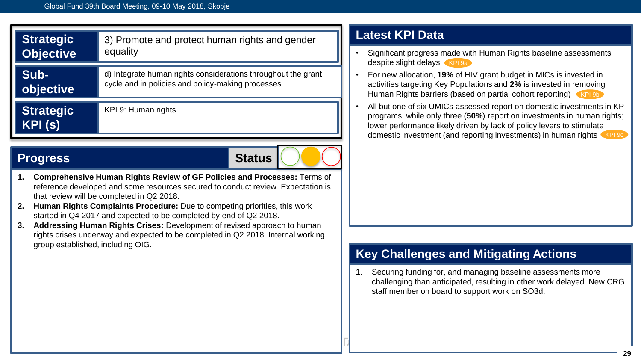| <b>Strategic</b>           | 3) Promote and protect human rights and gender                |
|----------------------------|---------------------------------------------------------------|
| <b>Objective</b>           | equality                                                      |
| Sub-                       | d) Integrate human rights considerations throughout the grant |
| objective                  | cycle and in policies and policy-making processes             |
| <b>Strategic</b><br>KPI(s) | KPI 9: Human rights                                           |



- **1. Comprehensive Human Rights Review of GF Policies and Processes:** Terms of reference developed and some resources secured to conduct review. Expectation is that review will be completed in Q2 2018.
- **2. Human Rights Complaints Procedure:** Due to competing priorities, this work started in Q4 2017 and expected to be completed by end of Q2 2018.
- **3. Addressing Human Rights Crises:** Development of revised approach to human rights crises underway and expected to be completed in Q2 2018. Internal working group established, including OIG.

### **Latest KPI Data**

- Significant progress made with Human Rights baseline assessments despite slight delays KPI 9a
- For new allocation, **19%** of HIV grant budget in MICs is invested in activities targeting Key Populations and **2%** is invested in removing Human Rights barriers (based on partial cohort reporting) (KPI 9b
- All but one of six UMICs assessed report on domestic investments in KP programs, while only three (**50%**) report on investments in human rights; lower performance likely driven by lack of policy levers to stimulate domestic investment (and reporting investments) in human rights KPI 9c

### **Key Challenges and Mitigating Actions**

Securing funding for, and managing baseline assessments more challenging than anticipated, resulting in other work delayed. New CRG staff member on board to support work on SO3d.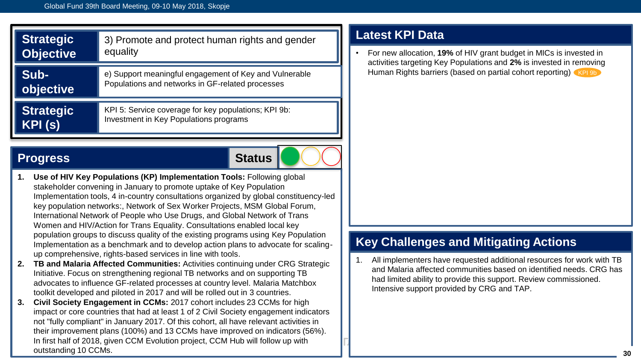| <b>Strategic</b> | 3) Promote and protect human rights and gender         |
|------------------|--------------------------------------------------------|
| <b>Objective</b> | equality                                               |
| Sub-             | e) Support meaningful engagement of Key and Vulnerable |
| objective        | Populations and networks in GF-related processes       |
| <b>Strategic</b> | KPI 5: Service coverage for key populations; KPI 9b:   |
| KPI (s)          | Investment in Key Populations programs                 |



- **1. Use of HIV Key Populations (KP) Implementation Tools:** Following global stakeholder convening in January to promote uptake of Key Population Implementation tools, 4 in-country consultations organized by global constituency-led key population networks:, Network of Sex Worker Projects, MSM Global Forum, International Network of People who Use Drugs, and Global Network of Trans Women and HIV/Action for Trans Equality. Consultations enabled local key population groups to discuss quality of the existing programs using Key Population Implementation as a benchmark and to develop action plans to advocate for scalingup comprehensive, rights-based services in line with tools.
- **2. TB and Malaria Affected Communities:** Activities continuing under CRG Strategic Initiative. Focus on strengthening regional TB networks and on supporting TB advocates to influence GF-related processes at country level. Malaria Matchbox toolkit developed and piloted in 2017 and will be rolled out in 3 countries.
- **3. Civil Society Engagement in CCMs:** 2017 cohort includes 23 CCMs for high impact or core countries that had at least 1 of 2 Civil Society engagement indicators not "fully compliant" in January 2017. Of this cohort, all have relevant activities in their improvement plans (100%) and 13 CCMs have improved on indicators (56%). In first half of 2018, given CCM Evolution project, CCM Hub will follow up with outstanding 10 CCMs.

### **Latest KPI Data**

• For new allocation, **19%** of HIV grant budget in MICs is invested in activities targeting Key Populations and **2%** is invested in removing Human Rights barriers (based on partial cohort reporting) KPI 9b

### **Key Challenges and Mitigating Actions**

All implementers have requested additional resources for work with TB and Malaria affected communities based on identified needs. CRG has had limited ability to provide this support. Review commissioned. Intensive support provided by CRG and TAP.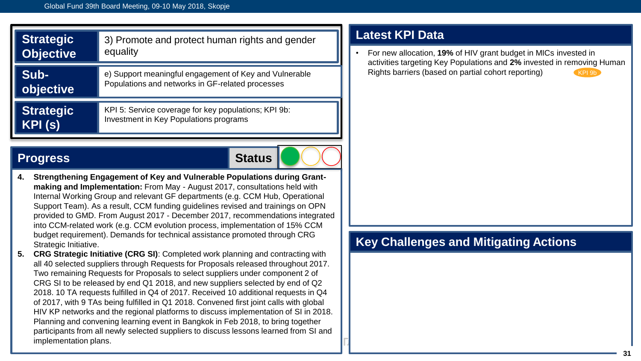| <b>Strategic</b> | 3) Promote and protect human rights and gender         |
|------------------|--------------------------------------------------------|
| <b>Objective</b> | equality                                               |
| Sub-             | e) Support meaningful engagement of Key and Vulnerable |
| objective        | Populations and networks in GF-related processes       |
| <b>Strategic</b> | KPI 5: Service coverage for key populations; KPI 9b:   |
| KPI(s)           | Investment in Key Populations programs                 |



- **4. Strengthening Engagement of Key and Vulnerable Populations during Grantmaking and Implementation:** From May - August 2017, consultations held with Internal Working Group and relevant GF departments (e.g. CCM Hub, Operational Support Team). As a result, CCM funding guidelines revised and trainings on OPN provided to GMD. From August 2017 - December 2017, recommendations integrated into CCM-related work (e.g. CCM evolution process, implementation of 15% CCM budget requirement). Demands for technical assistance promoted through CRG Strategic Initiative.
- **5. CRG Strategic Initiative (CRG SI)**: Completed work planning and contracting with all 40 selected suppliers through Requests for Proposals released throughout 2017. Two remaining Requests for Proposals to select suppliers under component 2 of CRG SI to be released by end Q1 2018, and new suppliers selected by end of Q2 2018. 10 TA requests fulfilled in Q4 of 2017. Received 10 additional requests in Q4 of 2017, with 9 TAs being fulfilled in Q1 2018. Convened first joint calls with global HIV KP networks and the regional platforms to discuss implementation of SI in 2018. Planning and convening learning event in Bangkok in Feb 2018, to bring together participants from all newly selected suppliers to discuss lessons learned from SI and implementation plans.

### **Latest KPI Data**

• For new allocation, **19%** of HIV grant budget in MICs invested in activities targeting Key Populations and **2%** invested in removing Human Rights barriers (based on partial cohort reporting) KPI 9b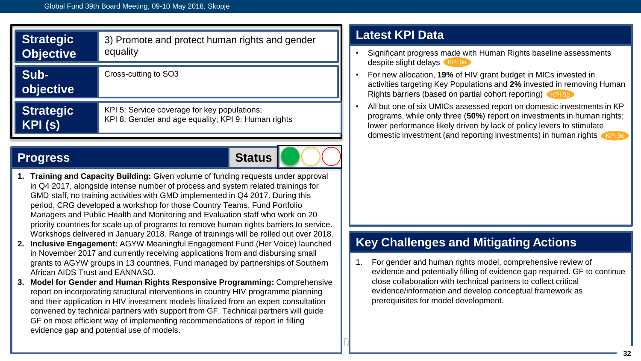| <b>Strategic</b>  | 3) Promote and protect human rights and gender      |
|-------------------|-----------------------------------------------------|
| Objective         | equality                                            |
| Sub-<br>objective | Cross-cutting to SO3                                |
| <b>Strategic</b>  | KPI 5: Service coverage for key populations;        |
| KPI(s)            | KPI 8: Gender and age equality; KPI 9: Human rights |



- **1. Training and Capacity Building:** Given volume of funding requests under approval in Q4 2017, alongside intense number of process and system related trainings for GMD staff, no training activities with GMD implemented in Q4 2017. During this period, CRG developed a workshop for those Country Teams, Fund Portfolio Managers and Public Health and Monitoring and Evaluation staff who work on 20 priority countries for scale up of programs to remove human rights barriers to service. Workshops delivered in January 2018. Range of trainings will be rolled out over 2018.
- **2. Inclusive Engagement:** AGYW Meaningful Engagement Fund (Her Voice) launched in November 2017 and currently receiving applications from and disbursing small grants to AGYW groups in 13 countries. Fund managed by partnerships of Southern African AIDS Trust and EANNASO.
- **3. Model for Gender and Human Rights Responsive Programming:** Comprehensive report on incorporating structural interventions in country HIV programme planning and their application in HIV investment models finalized from an expert consultation convened by technical partners with support from GF. Technical partners will guide GF on most efficient way of implementing recommendations of report in filling evidence gap and potential use of models.

### **Latest KPI Data**

- Significant progress made with Human Rights baseline assessments despite slight delays KPI 9a
- For new allocation, **19%** of HIV grant budget in MICs invested in activities targeting Key Populations and **2%** invested in removing Human Rights barriers (based on partial cohort reporting) KPI 9b
- All but one of six UMICs assessed report on domestic investments in KP programs, while only three (**50%**) report on investments in human rights; lower performance likely driven by lack of policy levers to stimulate domestic investment (and reporting investments) in human rights KPI 9c

### **Key Challenges and Mitigating Actions**

1. For gender and human rights model, comprehensive review of evidence and potentially filling of evidence gap required. GF to continue close collaboration with technical partners to collect critical evidence/information and develop conceptual framework as prerequisites for model development.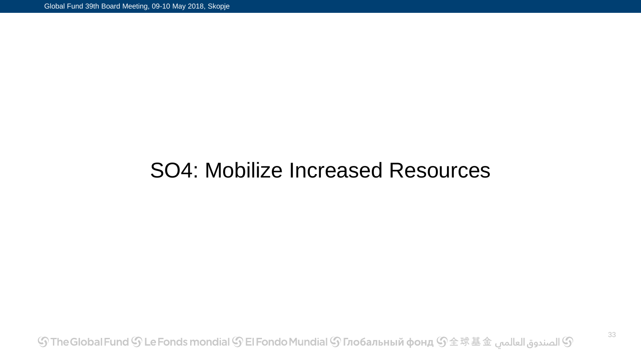## SO4: Mobilize Increased Resources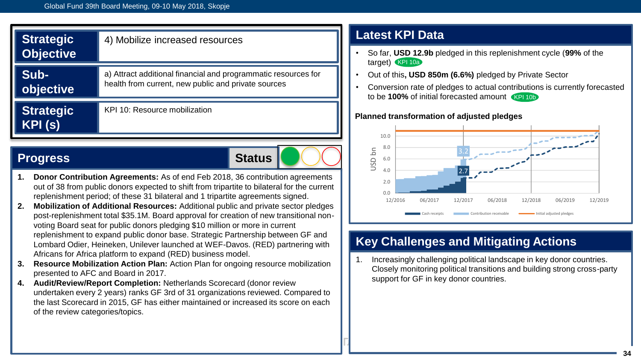| <b>Strategic</b><br><b>Objective</b> | 4) Mobilize increased resources                                                                                       |
|--------------------------------------|-----------------------------------------------------------------------------------------------------------------------|
| Sub-<br>objective                    | a) Attract additional financial and programmatic resources for<br>health from current, new public and private sources |
| <b>Strategic</b><br>KPI (s)          | KPI 10: Resource mobilization                                                                                         |



- **1. Donor Contribution Agreements:** As of end Feb 2018, 36 contribution agreements out of 38 from public donors expected to shift from tripartite to bilateral for the current replenishment period; of these 31 bilateral and 1 tripartite agreements signed.
- **2. Mobilization of Additional Resources:** Additional public and private sector pledges post-replenishment total \$35.1M. Board approval for creation of new transitional nonvoting Board seat for public donors pledging \$10 million or more in current replenishment to expand public donor base. Strategic Partnership between GF and Lombard Odier, Heineken, Unilever launched at WEF-Davos. (RED) partnering with Africans for Africa platform to expand (RED) business model.
- **3. Resource Mobilization Action Plan:** Action Plan for ongoing resource mobilization presented to AFC and Board in 2017.
- **4. Audit/Review/Report Completion:** Netherlands Scorecard (donor review undertaken every 2 years) ranks GF 3rd of 31 organizations reviewed. Compared to the last Scorecard in 2015, GF has either maintained or increased its score on each of the review categories/topics.

### **Latest KPI Data**

- So far, **USD 12.9b** pledged in this replenishment cycle (**99%** of the target) KPI 10a
- Out of this**, USD 850m (6.6%)** pledged by Private Sector
- Conversion rate of pledges to actual contributions is currently forecasted to be **100%** of initial forecasted amount KPI 10b

#### **Planned transformation of adjusted pledges**



### **Key Challenges and Mitigating Actions**

1. Increasingly challenging political landscape in key donor countries. Closely monitoring political transitions and building strong cross-party support for GF in key donor countries.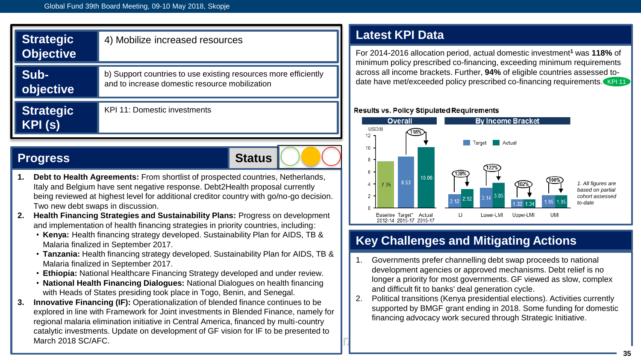| <b>Strategic</b><br>Objective | 4) Mobilize increased resources                                                                                   |
|-------------------------------|-------------------------------------------------------------------------------------------------------------------|
| Sub-<br>objective             | b) Support countries to use existing resources more efficiently<br>and to increase domestic resource mobilization |
| <b>Strategic</b><br>KPI(s)    | KPI 11: Domestic investments                                                                                      |



- **1. Debt to Health Agreements:** From shortlist of prospected countries, Netherlands, Italy and Belgium have sent negative response. Debt2Health proposal currently being reviewed at highest level for additional creditor country with go/no-go decision. Two new debt swaps in discussion.
- **2. Health Financing Strategies and Sustainability Plans:** Progress on development and implementation of health financing strategies in priority countries, including:
	- **Kenya:** Health financing strategy developed. Sustainability Plan for AIDS, TB & Malaria finalized in September 2017.
	- **Tanzania:** Health financing strategy developed. Sustainability Plan for AIDS, TB & Malaria finalized in September 2017.
	- **Ethiopia:** National Healthcare Financing Strategy developed and under review.
	- **National Health Financing Dialogues:** National Dialogues on health financing with Heads of States presiding took place in Togo, Benin, and Senegal.
- **3. Innovative Financing (IF):** Operationalization of blended finance continues to be explored in line with Framework for Joint investments in Blended Finance, namely for regional malaria elimination initiative in Central America, financed by multi-country catalytic investments. Update on development of GF vision for IF to be presented to March 2018 SC/AFC.

### **Latest KPI Data**

For 2014-2016 allocation period, actual domestic investment**<sup>1</sup>** was **118%** of minimum policy prescribed co-financing, exceeding minimum requirements across all income brackets. Further, **94%** of eligible countries assessed todate have met/exceeded policy prescribed co-financing requirements. KPI 11

#### **Results vs. Policy Stipulated Requirements**



- 1. Governments prefer channelling debt swap proceeds to national development agencies or approved mechanisms. Debt relief is no longer a priority for most governments. GF viewed as slow, complex and difficult fit to banks' deal generation cycle.
- 2. Political transitions (Kenya presidential elections). Activities currently supported by BMGF grant ending in 2018. Some funding for domestic financing advocacy work secured through Strategic Initiative.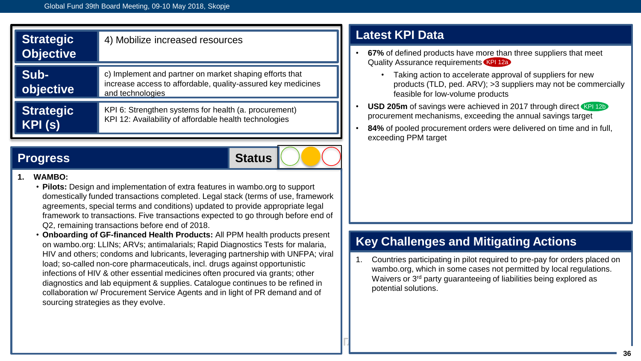| <b>Strategic</b><br><b>Objective</b>     | 4) Mobilize increased resources                                                                                                             |
|------------------------------------------|---------------------------------------------------------------------------------------------------------------------------------------------|
| Sub-<br>objective                        | c) Implement and partner on market shaping efforts that<br>increase access to affordable, quality-assured key medicines<br>and technologies |
| <b>Strategic</b><br>$\overline{KPI}$ (s) | KPI 6: Strengthen systems for health (a. procurement)<br>KPI 12: Availability of affordable health technologies                             |



#### **1. WAMBO:**

- **Pilots:** Design and implementation of extra features in wambo.org to support domestically funded transactions completed. Legal stack (terms of use, framework agreements, special terms and conditions) updated to provide appropriate legal framework to transactions. Five transactions expected to go through before end of Q2, remaining transactions before end of 2018.
- **Onboarding of GF-financed Health Products:** All PPM health products present on wambo.org: LLINs; ARVs; antimalarials; Rapid Diagnostics Tests for malaria, HIV and others; condoms and lubricants, leveraging partnership with UNFPA; viral load; so-called non-core pharmaceuticals, incl. drugs against opportunistic infections of HIV & other essential medicines often procured via grants; other diagnostics and lab equipment & supplies. Catalogue continues to be refined in collaboration w/ Procurement Service Agents and in light of PR demand and of sourcing strategies as they evolve.

### **Latest KPI Data**

- **67%** of defined products have more than three suppliers that meet Quality Assurance requirements KPI 12a
	- Taking action to accelerate approval of suppliers for new products (TLD, ped. ARV); >3 suppliers may not be commercially feasible for low-volume products
- **USD 205m** of savings were achieved in 2017 through direct KPI 12b procurement mechanisms, exceeding the annual savings target
- **84%** of pooled procurement orders were delivered on time and in full, exceeding PPM target

### **Key Challenges and Mitigating Actions**

1. Countries participating in pilot required to pre-pay for orders placed on wambo.org, which in some cases not permitted by local regulations. Waivers or 3<sup>rd</sup> party guaranteeing of liabilities being explored as potential solutions.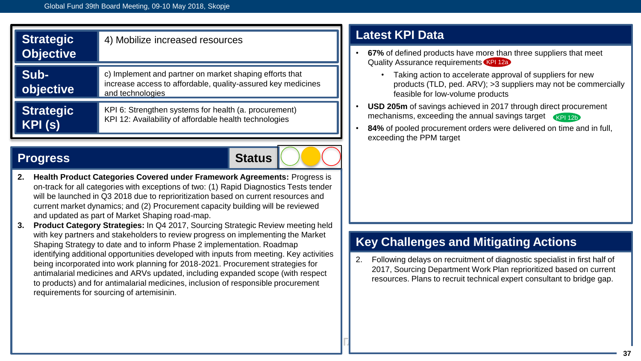| <b>Strategic</b><br><b>Objective</b>    | 4) Mobilize increased resources                                                                                                             |
|-----------------------------------------|---------------------------------------------------------------------------------------------------------------------------------------------|
| Sub-<br>objective                       | c) Implement and partner on market shaping efforts that<br>increase access to affordable, quality-assured key medicines<br>and technologies |
| <b>Strategic</b><br>$\overline{KPI(S)}$ | KPI 6: Strengthen systems for health (a. procurement)<br>KPI 12: Availability of affordable health technologies                             |



- **2. Health Product Categories Covered under Framework Agreements:** Progress is on-track for all categories with exceptions of two: (1) Rapid Diagnostics Tests tender will be launched in Q3 2018 due to reprioritization based on current resources and current market dynamics; and (2) Procurement capacity building will be reviewed and updated as part of Market Shaping road-map.
- **3. Product Category Strategies:** In Q4 2017, Sourcing Strategic Review meeting held with key partners and stakeholders to review progress on implementing the Market Shaping Strategy to date and to inform Phase 2 implementation. Roadmap identifying additional opportunities developed with inputs from meeting. Key activities being incorporated into work planning for 2018-2021. Procurement strategies for antimalarial medicines and ARVs updated, including expanded scope (with respect to products) and for antimalarial medicines, inclusion of responsible procurement requirements for sourcing of artemisinin.

### **Latest KPI Data**

- **67%** of defined products have more than three suppliers that meet Quality Assurance requirements KPI 12a
	- Taking action to accelerate approval of suppliers for new products (TLD, ped. ARV); >3 suppliers may not be commercially feasible for low-volume products
- **USD 205m** of savings achieved in 2017 through direct procurement mechanisms, exceeding the annual savings target KPI 12b
- **84%** of pooled procurement orders were delivered on time and in full, exceeding the PPM target

### **Key Challenges and Mitigating Actions**

2. Following delays on recruitment of diagnostic specialist in first half of 2017, Sourcing Department Work Plan reprioritized based on current resources. Plans to recruit technical expert consultant to bridge gap.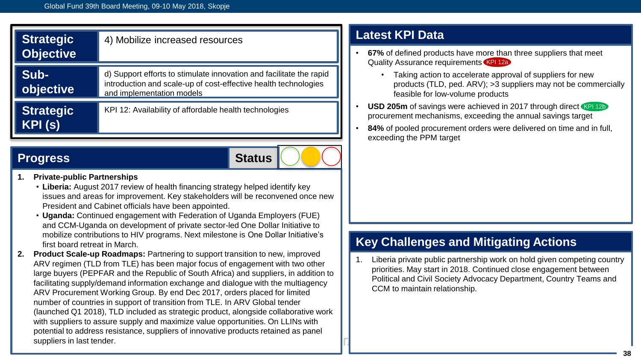| <b>Strategic</b><br><b>Objective</b> | 4) Mobilize increased resources                                                                                                                                     |
|--------------------------------------|---------------------------------------------------------------------------------------------------------------------------------------------------------------------|
| Sub-<br>objective                    | d) Support efforts to stimulate innovation and facilitate the rapid<br>introduction and scale-up of cost-effective health technologies<br>and implementation models |
| <b>Strategic</b><br>KPI(s)           | KPI 12: Availability of affordable health technologies                                                                                                              |



- **1. Private-public Partnerships**
	- **Liberia:** August 2017 review of health financing strategy helped identify key issues and areas for improvement. Key stakeholders will be reconvened once new President and Cabinet officials have been appointed.
	- **Uganda:** Continued engagement with Federation of Uganda Employers (FUE) and CCM-Uganda on development of private sector-led One Dollar Initiative to mobilize contributions to HIV programs. Next milestone is One Dollar Initiative's first board retreat in March.
- **2. Product Scale-up Roadmaps:** Partnering to support transition to new, improved ARV regimen (TLD from TLE) has been major focus of engagement with two other large buyers (PEPFAR and the Republic of South Africa) and suppliers, in addition to facilitating supply/demand information exchange and dialogue with the multiagency ARV Procurement Working Group. By end Dec 2017, orders placed for limited number of countries in support of transition from TLE. In ARV Global tender (launched Q1 2018), TLD included as strategic product, alongside collaborative work with suppliers to assure supply and maximize value opportunities. On LLINs with potential to address resistance, suppliers of innovative products retained as panel suppliers in last tender.

### **Latest KPI Data**

- **67%** of defined products have more than three suppliers that meet Quality Assurance requirements KPI 12a
	- Taking action to accelerate approval of suppliers for new products (TLD, ped. ARV); >3 suppliers may not be commercially feasible for low-volume products
- **USD 205m** of savings were achieved in 2017 through direct KPI 12b procurement mechanisms, exceeding the annual savings target
- **84%** of pooled procurement orders were delivered on time and in full, exceeding the PPM target

### **Key Challenges and Mitigating Actions**

Liberia private public partnership work on hold given competing country priorities. May start in 2018. Continued close engagement between Political and Civil Society Advocacy Department, Country Teams and CCM to maintain relationship.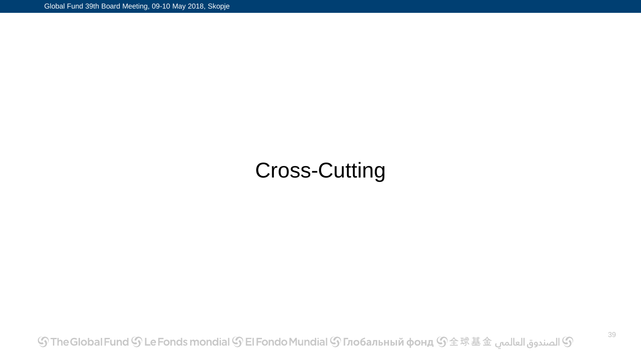## Cross-Cutting

 $\mathbb S$  الصندوق العالمي  $\mathbb S$  The Global Fund  $\mathbb S$  Le Fonds mondial  $\mathbb S$  El Fondo Mundial  $\mathbb S$  Глобальный фонд  $\mathbb S$   $\pm$   $\mathbb R$   $\pm$   $\pm$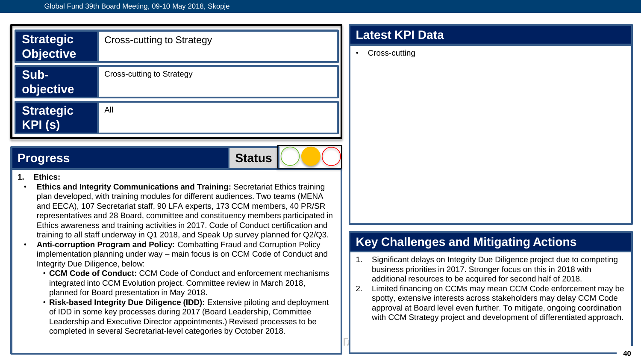| <b>Strategic</b><br><b>Objective</b> | <b>Cross-cutting to Strategy</b> |
|--------------------------------------|----------------------------------|
| Sub-<br>objective                    | Cross-cutting to Strategy        |
| <b>Strategic</b><br>KPI(S)           | All                              |

**Status**

- **1. Ethics:**
- **Ethics and Integrity Communications and Training:** Secretariat Ethics training plan developed, with training modules for different audiences. Two teams (MENA and EECA), 107 Secretariat staff, 90 LFA experts, 173 CCM members, 40 PR/SR representatives and 28 Board, committee and constituency members participated in Ethics awareness and training activities in 2017. Code of Conduct certification and training to all staff underway in Q1 2018, and Speak Up survey planned for Q2/Q3.
- **Anti-corruption Program and Policy:** Combatting Fraud and Corruption Policy implementation planning under way – main focus is on CCM Code of Conduct and Integrity Due Diligence, below:
	- **CCM Code of Conduct:** CCM Code of Conduct and enforcement mechanisms integrated into CCM Evolution project. Committee review in March 2018, planned for Board presentation in May 2018.
	- **Risk-based Integrity Due Diligence (IDD):** Extensive piloting and deployment of IDD in some key processes during 2017 (Board Leadership, Committee Leadership and Executive Director appointments.) Revised processes to be completed in several Secretariat-level categories by October 2018.

### **Latest KPI Data**

• Cross-cutting

- Significant delays on Integrity Due Diligence project due to competing business priorities in 2017. Stronger focus on this in 2018 with additional resources to be acquired for second half of 2018.
- 2. Limited financing on CCMs may mean CCM Code enforcement may be spotty, extensive interests across stakeholders may delay CCM Code approval at Board level even further. To mitigate, ongoing coordination with CCM Strategy project and development of differentiated approach.